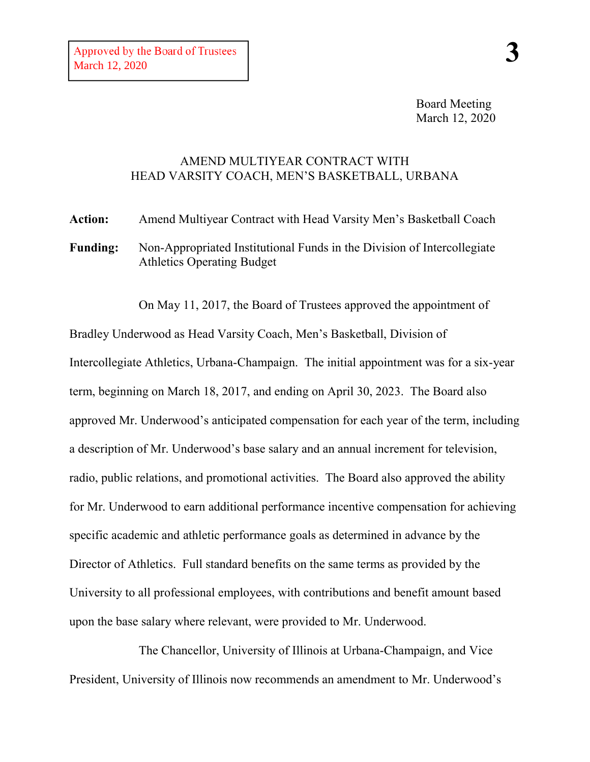Board Meeting March 12, 2020

## AMEND MULTIYEAR CONTRACT WITH HEAD VARSITY COACH, MEN'S BASKETBALL, URBANA

**Action:** Amend Multiyear Contract with Head Varsity Men's Basketball Coach **Funding:** Non-Appropriated Institutional Funds in the Division of Intercollegiate Athletics Operating Budget

On May 11, 2017, the Board of Trustees approved the appointment of Bradley Underwood as Head Varsity Coach, Men's Basketball, Division of Intercollegiate Athletics, Urbana-Champaign. The initial appointment was for a six-year term, beginning on March 18, 2017, and ending on April 30, 2023. The Board also approved Mr. Underwood's anticipated compensation for each year of the term, including a description of Mr. Underwood's base salary and an annual increment for television, radio, public relations, and promotional activities. The Board also approved the ability for Mr. Underwood to earn additional performance incentive compensation for achieving specific academic and athletic performance goals as determined in advance by the Director of Athletics. Full standard benefits on the same terms as provided by the University to all professional employees, with contributions and benefit amount based upon the base salary where relevant, were provided to Mr. Underwood.

The Chancellor, University of Illinois at Urbana-Champaign, and Vice President, University of Illinois now recommends an amendment to Mr. Underwood's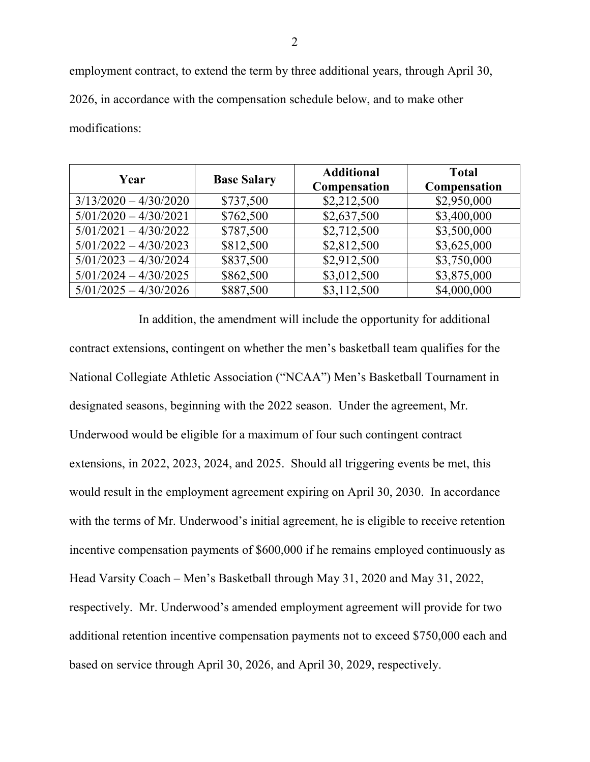employment contract, to extend the term by three additional years, through April 30, 2026, in accordance with the compensation schedule below, and to make other modifications:

| Year                    | <b>Base Salary</b> | <b>Additional</b><br>Compensation | <b>Total</b><br>Compensation |
|-------------------------|--------------------|-----------------------------------|------------------------------|
| $3/13/2020 - 4/30/2020$ | \$737,500          | \$2,212,500                       | \$2,950,000                  |
| $5/01/2020 - 4/30/2021$ | \$762,500          | \$2,637,500                       | \$3,400,000                  |
| $5/01/2021 - 4/30/2022$ | \$787,500          | \$2,712,500                       | \$3,500,000                  |
| $5/01/2022 - 4/30/2023$ | \$812,500          | \$2,812,500                       | \$3,625,000                  |
| $5/01/2023 - 4/30/2024$ | \$837,500          | \$2,912,500                       | \$3,750,000                  |
| $5/01/2024 - 4/30/2025$ | \$862,500          | \$3,012,500                       | \$3,875,000                  |
| $5/01/2025 - 4/30/2026$ | \$887,500          | \$3,112,500                       | \$4,000,000                  |

In addition, the amendment will include the opportunity for additional contract extensions, contingent on whether the men's basketball team qualifies for the National Collegiate Athletic Association ("NCAA") Men's Basketball Tournament in designated seasons, beginning with the 2022 season. Under the agreement, Mr. Underwood would be eligible for a maximum of four such contingent contract extensions, in 2022, 2023, 2024, and 2025. Should all triggering events be met, this would result in the employment agreement expiring on April 30, 2030. In accordance with the terms of Mr. Underwood's initial agreement, he is eligible to receive retention incentive compensation payments of \$600,000 if he remains employed continuously as Head Varsity Coach – Men's Basketball through May 31, 2020 and May 31, 2022, respectively. Mr. Underwood's amended employment agreement will provide for two additional retention incentive compensation payments not to exceed \$750,000 each and based on service through April 30, 2026, and April 30, 2029, respectively.